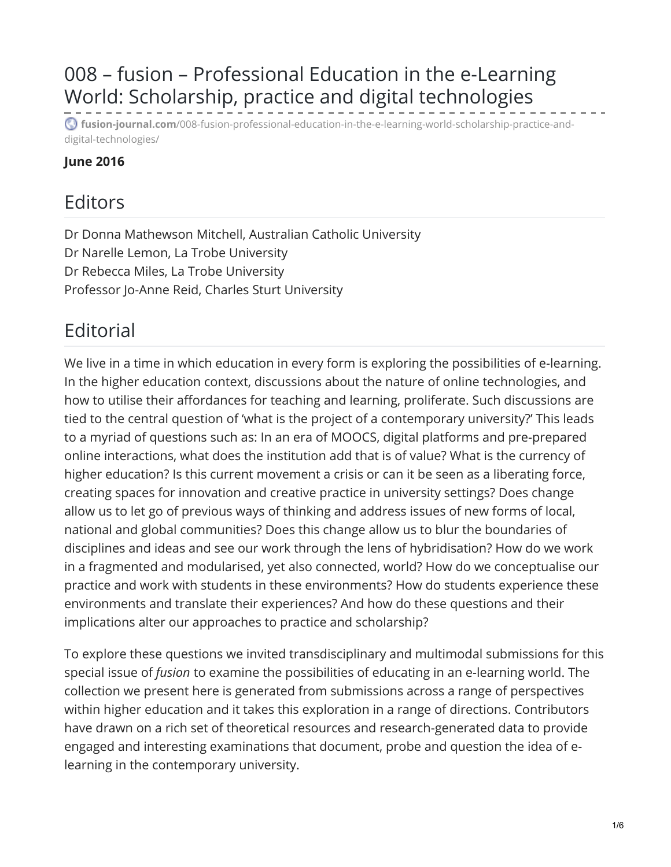# 008 – fusion – Professional Education in the e-Learning World: Scholarship, practice and digital technologies

**fusion-journal.com**[/008-fusion-professional-education-in-the-e-learning-world-scholarship-practice-and](http://www.fusion-journal.com/008-fusion-professional-education-in-the-e-learning-world-scholarship-practice-and-digital-technologies/)digital-technologies/

#### **June 2016**

### Editors

Dr Donna Mathewson Mitchell, Australian Catholic University Dr Narelle Lemon, La Trobe University Dr Rebecca Miles, La Trobe University Professor Jo-Anne Reid, Charles Sturt University

## **Editorial**

We live in a time in which education in every form is exploring the possibilities of e-learning. In the higher education context, discussions about the nature of online technologies, and how to utilise their affordances for teaching and learning, proliferate. Such discussions are tied to the central question of 'what is the project of a contemporary university?' This leads to a myriad of questions such as: In an era of MOOCS, digital platforms and pre-prepared online interactions, what does the institution add that is of value? What is the currency of higher education? Is this current movement a crisis or can it be seen as a liberating force, creating spaces for innovation and creative practice in university settings? Does change allow us to let go of previous ways of thinking and address issues of new forms of local, national and global communities? Does this change allow us to blur the boundaries of disciplines and ideas and see our work through the lens of hybridisation? How do we work in a fragmented and modularised, yet also connected, world? How do we conceptualise our practice and work with students in these environments? How do students experience these environments and translate their experiences? And how do these questions and their implications alter our approaches to practice and scholarship?

To explore these questions we invited transdisciplinary and multimodal submissions for this special issue of *fusion* to examine the possibilities of educating in an e-learning world. The collection we present here is generated from submissions across a range of perspectives within higher education and it takes this exploration in a range of directions. Contributors have drawn on a rich set of theoretical resources and research-generated data to provide engaged and interesting examinations that document, probe and question the idea of elearning in the contemporary university.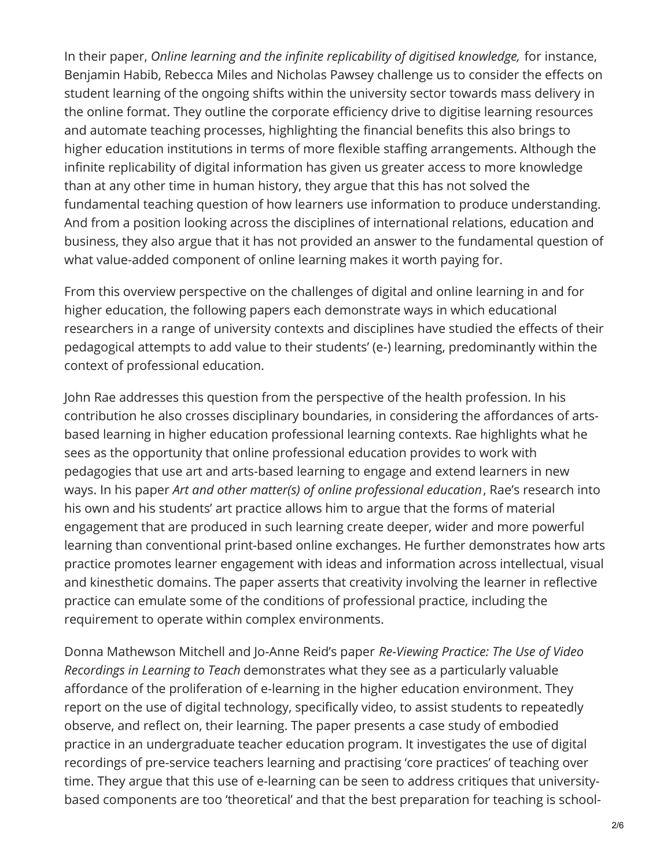In their paper, *Online learning and the infinite replicability of digitised knowledge,* for instance, Benjamin Habib, Rebecca Miles and Nicholas Pawsey challenge us to consider the effects on student learning of the ongoing shifts within the university sector towards mass delivery in the online format. They outline the corporate efficiency drive to digitise learning resources and automate teaching processes, highlighting the financial benefits this also brings to higher education institutions in terms of more flexible staffing arrangements. Although the infinite replicability of digital information has given us greater access to more knowledge than at any other time in human history, they argue that this has not solved the fundamental teaching question of how learners use information to produce understanding. And from a position looking across the disciplines of international relations, education and business, they also argue that it has not provided an answer to the fundamental question of what value-added component of online learning makes it worth paying for.

From this overview perspective on the challenges of digital and online learning in and for higher education, the following papers each demonstrate ways in which educational researchers in a range of university contexts and disciplines have studied the effects of their pedagogical attempts to add value to their students' (e-) learning, predominantly within the context of professional education.

John Rae addresses this question from the perspective of the health profession. In his contribution he also crosses disciplinary boundaries, in considering the affordances of artsbased learning in higher education professional learning contexts. Rae highlights what he sees as the opportunity that online professional education provides to work with pedagogies that use art and arts-based learning to engage and extend learners in new ways. In his paper *Art and other matter(s) of online professional education*, Rae's research into his own and his students' art practice allows him to argue that the forms of material engagement that are produced in such learning create deeper, wider and more powerful learning than conventional print-based online exchanges. He further demonstrates how arts practice promotes learner engagement with ideas and information across intellectual, visual and kinesthetic domains. The paper asserts that creativity involving the learner in reflective practice can emulate some of the conditions of professional practice, including the requirement to operate within complex environments.

Donna Mathewson Mitchell and Jo-Anne Reid's paper *Re-Viewing Practice: The Use of Video Recordings in Learning to Teach* demonstrates what they see as a particularly valuable affordance of the proliferation of e-learning in the higher education environment. They report on the use of digital technology, specifically video, to assist students to repeatedly observe, and reflect on, their learning. The paper presents a case study of embodied practice in an undergraduate teacher education program. It investigates the use of digital recordings of pre-service teachers learning and practising 'core practices' of teaching over time. They argue that this use of e-learning can be seen to address critiques that universitybased components are too 'theoretical' and that the best preparation for teaching is school-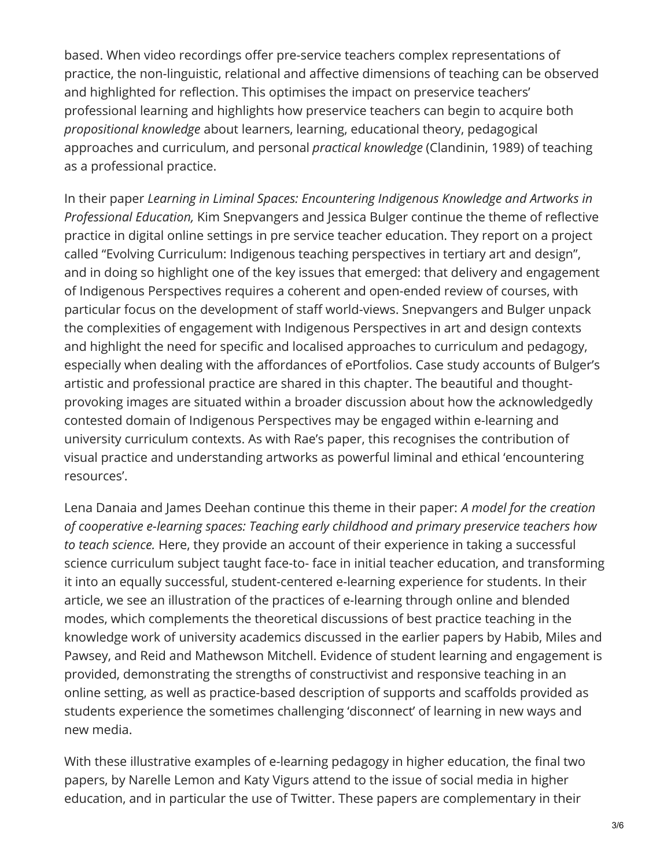based. When video recordings offer pre-service teachers complex representations of practice, the non-linguistic, relational and affective dimensions of teaching can be observed and highlighted for reflection. This optimises the impact on preservice teachers' professional learning and highlights how preservice teachers can begin to acquire both *propositional knowledge* about learners, learning, educational theory, pedagogical approaches and curriculum, and personal *practical knowledge* (Clandinin, 1989) of teaching as a professional practice.

In their paper *Learning in Liminal Spaces: Encountering Indigenous Knowledge and Artworks in Professional Education,* Kim Snepvangers and Jessica Bulger continue the theme of reflective practice in digital online settings in pre service teacher education. They report on a project called "Evolving Curriculum: Indigenous teaching perspectives in tertiary art and design", and in doing so highlight one of the key issues that emerged: that delivery and engagement of Indigenous Perspectives requires a coherent and open-ended review of courses, with particular focus on the development of staff world-views. Snepvangers and Bulger unpack the complexities of engagement with Indigenous Perspectives in art and design contexts and highlight the need for specific and localised approaches to curriculum and pedagogy, especially when dealing with the affordances of ePortfolios. Case study accounts of Bulger's artistic and professional practice are shared in this chapter. The beautiful and thoughtprovoking images are situated within a broader discussion about how the acknowledgedly contested domain of Indigenous Perspectives may be engaged within e-learning and university curriculum contexts. As with Rae's paper, this recognises the contribution of visual practice and understanding artworks as powerful liminal and ethical 'encountering resources'.

Lena Danaia and James Deehan continue this theme in their paper: *A model for the creation of cooperative e-learning spaces: Teaching early childhood and primary preservice teachers how to teach science.* Here, they provide an account of their experience in taking a successful science curriculum subject taught face-to- face in initial teacher education, and transforming it into an equally successful, student-centered e-learning experience for students. In their article, we see an illustration of the practices of e-learning through online and blended modes, which complements the theoretical discussions of best practice teaching in the knowledge work of university academics discussed in the earlier papers by Habib, Miles and Pawsey, and Reid and Mathewson Mitchell. Evidence of student learning and engagement is provided, demonstrating the strengths of constructivist and responsive teaching in an online setting, as well as practice-based description of supports and scaffolds provided as students experience the sometimes challenging 'disconnect' of learning in new ways and new media.

With these illustrative examples of e-learning pedagogy in higher education, the final two papers, by Narelle Lemon and Katy Vigurs attend to the issue of social media in higher education, and in particular the use of Twitter. These papers are complementary in their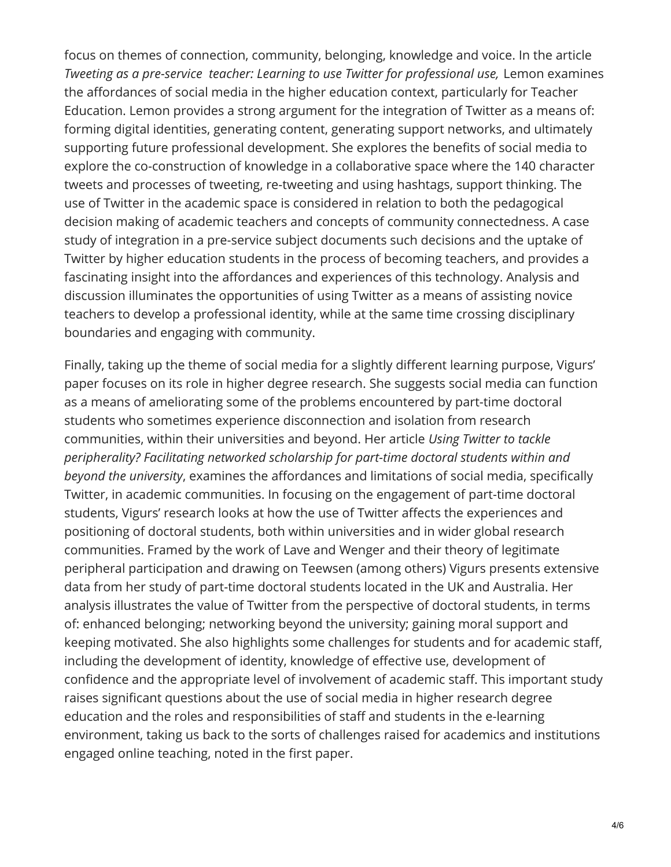focus on themes of connection, community, belonging, knowledge and voice. In the article *Tweeting as a pre-service teacher: Learning to use Twitter for professional use,* Lemon examines the affordances of social media in the higher education context, particularly for Teacher Education. Lemon provides a strong argument for the integration of Twitter as a means of: forming digital identities, generating content, generating support networks, and ultimately supporting future professional development. She explores the benefits of social media to explore the co-construction of knowledge in a collaborative space where the 140 character tweets and processes of tweeting, re-tweeting and using hashtags, support thinking. The use of Twitter in the academic space is considered in relation to both the pedagogical decision making of academic teachers and concepts of community connectedness. A case study of integration in a pre-service subject documents such decisions and the uptake of Twitter by higher education students in the process of becoming teachers, and provides a fascinating insight into the affordances and experiences of this technology. Analysis and discussion illuminates the opportunities of using Twitter as a means of assisting novice teachers to develop a professional identity, while at the same time crossing disciplinary boundaries and engaging with community.

Finally, taking up the theme of social media for a slightly different learning purpose, Vigurs' paper focuses on its role in higher degree research. She suggests social media can function as a means of ameliorating some of the problems encountered by part-time doctoral students who sometimes experience disconnection and isolation from research communities, within their universities and beyond. Her article *Using Twitter to tackle peripherality? Facilitating networked scholarship for part-time doctoral students within and beyond the university*, examines the affordances and limitations of social media, specifically Twitter, in academic communities. In focusing on the engagement of part-time doctoral students, Vigurs' research looks at how the use of Twitter affects the experiences and positioning of doctoral students, both within universities and in wider global research communities. Framed by the work of Lave and Wenger and their theory of legitimate peripheral participation and drawing on Teewsen (among others) Vigurs presents extensive data from her study of part-time doctoral students located in the UK and Australia. Her analysis illustrates the value of Twitter from the perspective of doctoral students, in terms of: enhanced belonging; networking beyond the university; gaining moral support and keeping motivated. She also highlights some challenges for students and for academic staff, including the development of identity, knowledge of effective use, development of confidence and the appropriate level of involvement of academic staff. This important study raises significant questions about the use of social media in higher research degree education and the roles and responsibilities of staff and students in the e-learning environment, taking us back to the sorts of challenges raised for academics and institutions engaged online teaching, noted in the first paper.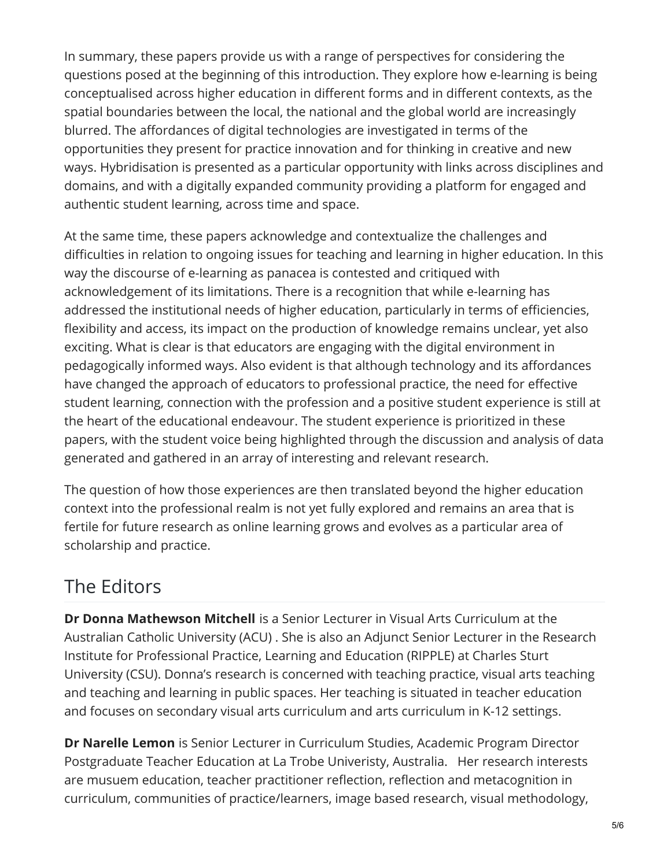In summary, these papers provide us with a range of perspectives for considering the questions posed at the beginning of this introduction. They explore how e-learning is being conceptualised across higher education in different forms and in different contexts, as the spatial boundaries between the local, the national and the global world are increasingly blurred. The affordances of digital technologies are investigated in terms of the opportunities they present for practice innovation and for thinking in creative and new ways. Hybridisation is presented as a particular opportunity with links across disciplines and domains, and with a digitally expanded community providing a platform for engaged and authentic student learning, across time and space.

At the same time, these papers acknowledge and contextualize the challenges and difficulties in relation to ongoing issues for teaching and learning in higher education. In this way the discourse of e-learning as panacea is contested and critiqued with acknowledgement of its limitations. There is a recognition that while e-learning has addressed the institutional needs of higher education, particularly in terms of efficiencies, flexibility and access, its impact on the production of knowledge remains unclear, yet also exciting. What is clear is that educators are engaging with the digital environment in pedagogically informed ways. Also evident is that although technology and its affordances have changed the approach of educators to professional practice, the need for effective student learning, connection with the profession and a positive student experience is still at the heart of the educational endeavour. The student experience is prioritized in these papers, with the student voice being highlighted through the discussion and analysis of data generated and gathered in an array of interesting and relevant research.

The question of how those experiences are then translated beyond the higher education context into the professional realm is not yet fully explored and remains an area that is fertile for future research as online learning grows and evolves as a particular area of scholarship and practice.

## The Editors

**Dr Donna Mathewson Mitchell** is a Senior Lecturer in Visual Arts Curriculum at the Australian Catholic University (ACU) . She is also an Adjunct Senior Lecturer in the Research Institute for Professional Practice, Learning and Education (RIPPLE) at Charles Sturt University (CSU). Donna's research is concerned with teaching practice, visual arts teaching and teaching and learning in public spaces. Her teaching is situated in teacher education and focuses on secondary visual arts curriculum and arts curriculum in K-12 settings.

**Dr Narelle Lemon** is Senior Lecturer in Curriculum Studies, Academic Program Director Postgraduate Teacher Education at La Trobe Univeristy, Australia. Her research interests are musuem education, teacher practitioner reflection, reflection and metacognition in curriculum, communities of practice/learners, image based research, visual methodology,